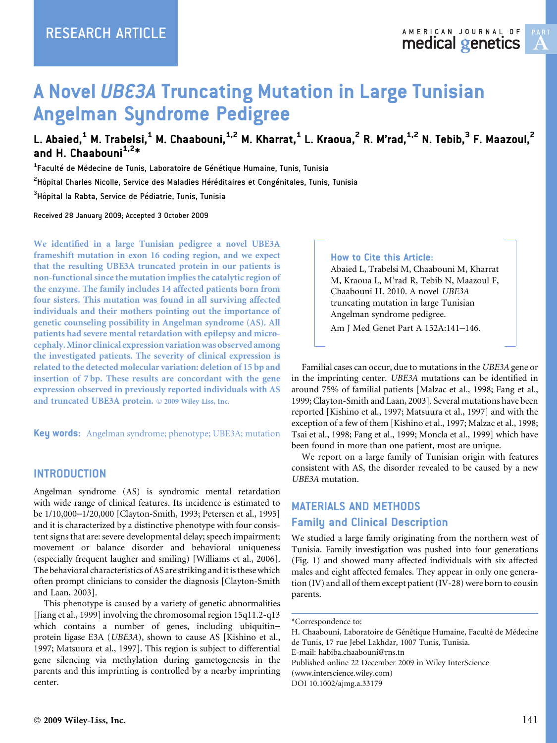# A Novel UBE3A Truncating Mutation in Large Tunisian Angelman Syndrome Pedigree

L. Abaied,<sup>1</sup> M. Trabelsi,<sup>1</sup> M. Chaabouni,<sup>1,2</sup> M. Kharrat,<sup>1</sup> L. Kraoua,<sup>2</sup> R. M'rad,<sup>1,2</sup> N. Tebib,<sup>3</sup> F. Maazoul,<sup>2</sup> and H. Chaabouni $1.2*$ 

 $^{\rm 1}$ Faculté de Médecine de Tunis, Laboratoire de Génétique Humaine, Tunis, Tunisia

 $^{\mathsf{2}}$ Hôpital Charles Nicolle, Service des Maladies Héréditaires et Congénitales, Tunis, Tunisia

 $^3$ Hôpital la Rabta, Service de Pédiatrie, Tunis, Tunisia

Received 28 January 2009; Accepted 3 October 2009

We identified in a large Tunisian pedigree a novel UBE3A frameshift mutation in exon 16 coding region, and we expect that the resulting UBE3A truncated protein in our patients is non-functional since the mutation implies the catalytic region of the enzyme. The family includes 14 affected patients born from four sisters. This mutation was found in all surviving affected individuals and their mothers pointing out the importance of genetic counseling possibility in Angelman syndrome (AS). All patients had severe mental retardation with epilepsy and microcephaly. Minor clinical expression variation was observed among the investigated patients. The severity of clinical expression is related to the detected molecular variation: deletion of 15 bp and insertion of 7 bp. These results are concordant with the gene expression observed in previously reported individuals with AS and truncated UBE3A protein. © 2009 Wiley-Liss, Inc.

Key words: Angelman syndrome; phenotype; UBE3A; mutation

#### INTRODUCTION

Angelman syndrome (AS) is syndromic mental retardation with wide range of clinical features. Its incidence is estimated to be 1/10,000–1/20,000 [Clayton-Smith, 1993; Petersen et al., 1995] and it is characterized by a distinctive phenotype with four consistent signs that are: severe developmental delay; speech impairment; movement or balance disorder and behavioral uniqueness (especially frequent laugher and smiling) [Williams et al., 2006]. The behavioral characteristics of AS are striking and it is these which often prompt clinicians to consider the diagnosis [Clayton-Smith and Laan, 2003].

This phenotype is caused by a variety of genetic abnormalities [Jiang et al., 1999] involving the chromosomal region 15q11.2-q13 which contains a number of genes, including ubiquitin– protein ligase E3A (UBE3A), shown to cause AS [Kishino et al., 1997; Matsuura et al., 1997]. This region is subject to differential gene silencing via methylation during gametogenesis in the parents and this imprinting is controlled by a nearby imprinting center.

#### How to Cite this Article:

Abaied L, Trabelsi M, Chaabouni M, Kharrat M, Kraoua L, M'rad R, Tebib N, Maazoul F, Chaabouni H. 2010. A novel UBE3A truncating mutation in large Tunisian Angelman syndrome pedigree.

Am J Med Genet Part A 152A:141–146.

Familial cases can occur, due to mutations in the UBE3A gene or in the imprinting center. UBE3A mutations can be identified in around 75% of familial patients [Malzac et al., 1998; Fang et al., 1999; Clayton-Smith and Laan, 2003]. Several mutations have been reported [Kishino et al., 1997; Matsuura et al., 1997] and with the exception of a few of them [Kishino et al., 1997; Malzac et al., 1998; Tsai et al., 1998; Fang et al., 1999; Moncla et al., 1999] which have been found in more than one patient, most are unique.

We report on a large family of Tunisian origin with features consistent with AS, the disorder revealed to be caused by a new UBE3A mutation.

# MATERIALS AND METHODS Family and Clinical Description

We studied a large family originating from the northern west of Tunisia. Family investigation was pushed into four generations (Fig. 1) and showed many affected individuals with six affected males and eight affected females. They appear in only one generation (IV) and all of them except patient (IV-28) were born to cousin parents.

H. Chaabouni, Laboratoire de Génétique Humaine, Faculté de Médecine de Tunis, 17 rue Jebel Lakhdar, 1007 Tunis, Tunisia. E-mail: habiba.chaabouni@rns.tn Published online 22 December 2009 in Wiley InterScience

(www.interscience.wiley.com) DOI 10.1002/ajmg.a.33179

<sup>\*</sup>Correspondence to: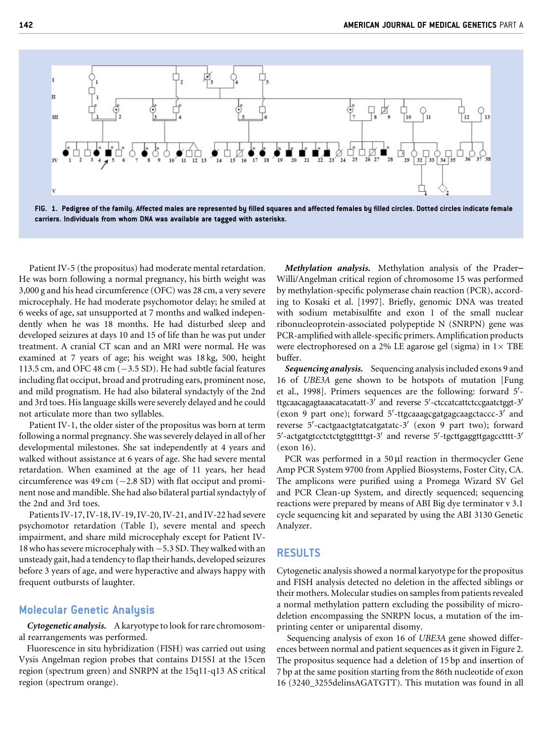



Patient IV-5 (the propositus) had moderate mental retardation. He was born following a normal pregnancy, his birth weight was 3,000 g and his head circumference (OFC) was 28 cm, a very severe microcephaly. He had moderate psychomotor delay; he smiled at 6 weeks of age, sat unsupported at 7 months and walked independently when he was 18 months. He had disturbed sleep and developed seizures at days 10 and 15 of life than he was put under treatment. A cranial CT scan and an MRI were normal. He was examined at 7 years of age; his weight was 18 kg, 500, height 113.5 cm, and OFC 48 cm  $(-3.5 SD)$ . He had subtle facial features including flat occiput, broad and protruding ears, prominent nose, and mild prognatism. He had also bilateral syndactyly of the 2nd and 3rd toes. His language skills were severely delayed and he could not articulate more than two syllables.

Patient IV-1, the older sister of the propositus was born at term following a normal pregnancy. She was severely delayed in all of her developmental milestones. She sat independently at 4 years and walked without assistance at 6 years of age. She had severe mental retardation. When examined at the age of 11 years, her head circumference was 49 cm  $(-2.8 SD)$  with flat occiput and prominent nose and mandible. She had also bilateral partial syndactyly of the 2nd and 3rd toes.

Patients IV-17, IV-18, IV-19, IV-20, IV-21, and IV-22 had severe psychomotor retardation (Table I), severe mental and speech impairment, and share mild microcephaly except for Patient IV-18 who has severe microcephaly with  $-5.3$  SD. They walked with an unsteady gait, had a tendency to flap their hands, developed seizures before 3 years of age, and were hyperactive and always happy with frequent outbursts of laughter.

#### Molecular Genetic Analysis

Cytogenetic analysis. A karyotype to look for rare chromosomal rearrangements was performed.

Fluorescence in situ hybridization (FISH) was carried out using Vysis Angelman region probes that contains D15S1 at the 15cen region (spectrum green) and SNRPN at the 15q11-q13 AS critical region (spectrum orange).

Methylation analysis. Methylation analysis of the Prader– Willi/Angelman critical region of chromosome 15 was performed by methylation-specific polymerase chain reaction (PCR), according to Kosaki et al. [1997]. Briefly, genomic DNA was treated with sodium metabisulfite and exon 1 of the small nuclear ribonucleoprotein-associated polypeptide N (SNRPN) gene was PCR-amplified with allele-specific primers. Amplification products were electrophoresed on a 2% LE agarose gel (sigma) in  $1\times$  TBE buffer.

Sequencing analysis. Sequencing analysis included exons 9 and 16 of UBE3A gene shown to be hotspots of mutation [Fung et al., 1998]. Primers sequences are the following: forward 5'ttgcaacagagtaaacatacatatt-3' and reverse 5'-ctccatcattctccgaatctggt-3' (exon 9 part one); forward 5'-ttgcaaagcgatgagcaagctaccc-3' and reverse 5'-cactgaactgtatcatgatatc-3' (exon 9 part two); forward 5'-actgatgtcctctctgtggttttgt-3' and reverse 5'-tgcttgaggttgagcctttt-3' (exon 16).

PCR was performed in a  $50 \mu l$  reaction in thermocycler Gene Amp PCR System 9700 from Applied Biosystems, Foster City, CA. The amplicons were purified using a Promega Wizard SV Gel and PCR Clean-up System, and directly sequenced; sequencing reactions were prepared by means of ABI Big dye terminator v 3.1 cycle sequencing kit and separated by using the ABI 3130 Genetic Analyzer.

#### RESULTS

Cytogenetic analysis showed a normal karyotype for the propositus and FISH analysis detected no deletion in the affected siblings or their mothers. Molecular studies on samples from patients revealed a normal methylation pattern excluding the possibility of microdeletion encompassing the SNRPN locus, a mutation of the imprinting center or uniparental disomy.

Sequencing analysis of exon 16 of UBE3A gene showed differences between normal and patient sequences as it given in Figure 2. The propositus sequence had a deletion of 15 bp and insertion of 7 bp at the same position starting from the 86th nucleotide of exon 16 (3240\_3255delinsAGATGTT). This mutation was found in all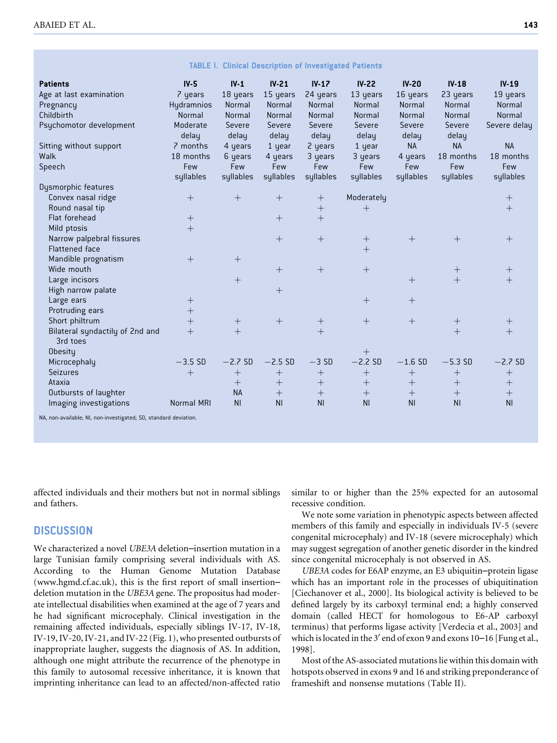| <b>TABLE I. Clinical Description of Investigated Patients</b>    |                   |                  |                  |                    |                  |                  |                  |                    |
|------------------------------------------------------------------|-------------------|------------------|------------------|--------------------|------------------|------------------|------------------|--------------------|
| <b>Patients</b>                                                  | $IV-5$            | $IV-1$           | $IV-21$          | $IV-17$            | $IV-22$          | $IV-20$          | $IV-18$          | $IV-19$            |
| Age at last examination                                          | 7 years           | 18 years         | 15 years         | 24 years           | 13 years         | 16 years         | 23 years         | 19 years           |
| Pregnancy                                                        | <b>Hydramnios</b> | Normal           | Normal           | Normal             | Normal           | Normal           | Normal           | Normal             |
| Childbirth                                                       | Normal            | Normal           | Normal           | Normal             | Normal           | Normal           | Normal           | Normal             |
| Psychomotor development                                          | Moderate<br>delay | Severe<br>delay  | Severe<br>delay  | Severe<br>delay    | Severe<br>delay  | Severe<br>delay  | Severe<br>delay  | Severe delay       |
| Sitting without support                                          | 7 months          | 4 years          | 1 year           | 2 years            | 1 year           | <b>NA</b>        | <b>NA</b>        | <b>NA</b>          |
| Walk                                                             | 18 months         | 6 years          | 4 years          | 3 years            | 3 years          | 4 years          | 18 months        | 18 months          |
| Speech                                                           | Few               | Few              | Few              | Few                | Few              | Few              | Few              | Few                |
|                                                                  | syllables         | syllables        | syllables        | syllables          | syllables        | syllables        | syllables        | syllables          |
| Dysmorphic features                                              |                   |                  |                  |                    |                  |                  |                  |                    |
| Convex nasal ridge                                               | $^{+}$            | $^{+}$           | $^{+}$           | $\hspace{0.1mm} +$ | Moderately       |                  |                  | $\pm$              |
| Round nasal tip                                                  |                   |                  |                  |                    | $^{+}$           |                  |                  | $+$                |
| Flat forehead                                                    | $^{+}$            |                  | $\boldsymbol{+}$ | $^{+}$             |                  |                  |                  |                    |
| Mild ptosis                                                      | $\overline{+}$    |                  |                  |                    |                  |                  |                  |                    |
| Narrow palpebral fissures                                        |                   |                  | $\overline{+}$   | $^{+}$             |                  | $^{+}$           | $+$              | $^{+}$             |
| <b>Flattened face</b>                                            |                   |                  |                  |                    | $\ddot{}$        |                  |                  |                    |
| Mandible prognatism                                              | $+$               | $^{+}$           |                  |                    |                  |                  |                  |                    |
| Wide mouth                                                       |                   |                  | $+$              | $^{+}$             | $+$              |                  | $^{+}$           | $^{+}$             |
| Large incisors                                                   |                   |                  |                  |                    |                  | $^{+}$           | $\overline{+}$   | $+$                |
| High narrow palate                                               |                   |                  | $+$              |                    |                  |                  |                  |                    |
| Large ears                                                       | $^{+}$            |                  |                  |                    | $^{+}$           | $+$              |                  |                    |
| Protruding ears                                                  | $+$               |                  |                  |                    |                  |                  |                  |                    |
| Short philtrum                                                   | $^{+}$            |                  |                  |                    | $^{+}$           |                  | $^{+}$           | $\hspace{0.1mm} +$ |
| Bilateral syndactily of 2nd and<br>3rd toes                      | $\overline{+}$    | $+$              |                  | $\overline{+}$     |                  |                  | $+$              | $+$                |
| <b>Obesity</b>                                                   |                   |                  |                  |                    | $^{+}$           |                  |                  |                    |
| Microcephaly                                                     | $-3.5$ SD         | $-2.7$ SD        | $-2.5$ SD        | $-3SD$             | $-2.2$ SD        | $-1.6$ SD        | $-5.3$ SD        | $-2.7$ SD          |
| <b>Seizures</b>                                                  | $+$               | $\boldsymbol{+}$ | $\boldsymbol{+}$ | $\boldsymbol{+}$   |                  | $\boldsymbol{+}$ | $^{+}$           | $^{+}$             |
| Ataxia                                                           |                   |                  | $\boldsymbol{+}$ | $\! + \!$          | $\boldsymbol{+}$ | $\boldsymbol{+}$ | $\boldsymbol{+}$ | $\boldsymbol{+}$   |
| Outbursts of laughter                                            |                   | <b>NA</b>        | $\! + \!$        | $\! + \!$          | $\boldsymbol{+}$ | $\boldsymbol{+}$ | $\boldsymbol{+}$ | $\boldsymbol{+}$   |
| Imaging investigations                                           | <b>Normal MRI</b> | N <sub>1</sub>   | N <sub>1</sub>   | N <sub>1</sub>     | N <sub>l</sub>   | N <sub>1</sub>   | <b>NI</b>        | N <sub>1</sub>     |
| NA, non-available; NI, non-investigated; SD, standard deviation. |                   |                  |                  |                    |                  |                  |                  |                    |

affected individuals and their mothers but not in normal siblings and fathers.

### **DISCUSSION**

We characterized a novel UBE3A deletion–insertion mutation in a large Tunisian family comprising several individuals with AS. According to the Human Genome Mutation Database (www.hgmd.cf.ac.uk), this is the first report of small insertion– deletion mutation in the UBE3A gene. The propositus had moderate intellectual disabilities when examined at the age of 7 years and he had significant microcephaly. Clinical investigation in the remaining affected individuals, especially siblings IV-17, IV-18, IV-19, IV-20, IV-21, and IV-22 (Fig. 1), who presented outbursts of inappropriate laugher, suggests the diagnosis of AS. In addition, although one might attribute the recurrence of the phenotype in this family to autosomal recessive inheritance, it is known that imprinting inheritance can lead to an affected/non-affected ratio

similar to or higher than the 25% expected for an autosomal recessive condition.

We note some variation in phenotypic aspects between affected members of this family and especially in individuals IV-5 (severe congenital microcephaly) and IV-18 (severe microcephaly) which may suggest segregation of another genetic disorder in the kindred since congenital microcephaly is not observed in AS.

UBE3A codes for E6AP enzyme, an E3 ubiquitin–protein ligase which has an important role in the processes of ubiquitination [Ciechanover et al., 2000]. Its biological activity is believed to be defined largely by its carboxyl terminal end; a highly conserved domain (called HECT for homologous to E6-AP carboxyl terminus) that performs ligase activity [Verdecia et al., 2003] and which is located in the  $3'$  end of exon 9 and exons 10–16 [Fung et al., 1998].

Most of the AS-associated mutations lie within this domain with hotspots observed in exons 9 and 16 and striking preponderance of frameshift and nonsense mutations (Table II).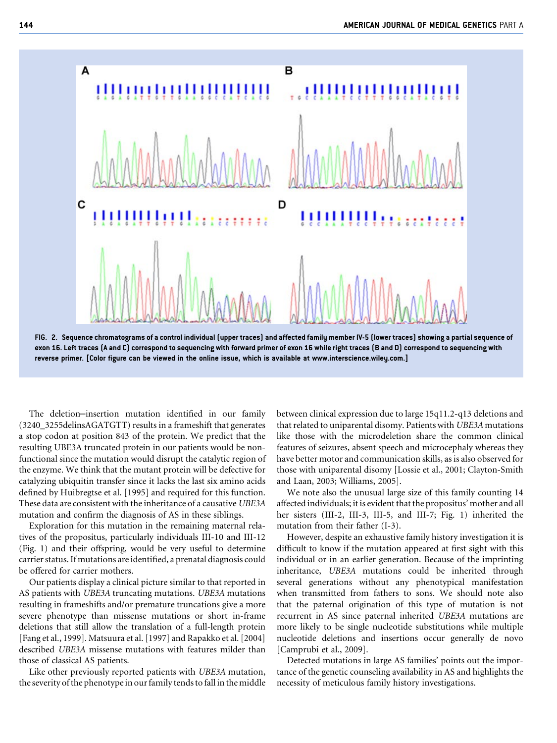

exon 16. Left traces (A and C) correspond to sequencing with forward primer of exon 16 while right traces (B and D) correspond to sequencing with reverse primer. [Color figure can be viewed in the online issue, which is available at www.interscience.wiley.com.]

The deletion–insertion mutation identified in our family (3240\_3255delinsAGATGTT) results in a frameshift that generates a stop codon at position 843 of the protein. We predict that the resulting UBE3A truncated protein in our patients would be nonfunctional since the mutation would disrupt the catalytic region of the enzyme. We think that the mutant protein will be defective for catalyzing ubiquitin transfer since it lacks the last six amino acids defined by Huibregtse et al. [1995] and required for this function. These data are consistent with the inheritance of a causative UBE3A mutation and confirm the diagnosis of AS in these siblings.

Exploration for this mutation in the remaining maternal relatives of the propositus, particularly individuals III-10 and III-12 (Fig. 1) and their offspring, would be very useful to determine carrier status. If mutations are identified, a prenatal diagnosis could be offered for carrier mothers.

Our patients display a clinical picture similar to that reported in AS patients with UBE3A truncating mutations. UBE3A mutations resulting in frameshifts and/or premature truncations give a more severe phenotype than missense mutations or short in-frame deletions that still allow the translation of a full-length protein [Fang et al., 1999]. Matsuura et al. [1997] and Rapakko et al. [2004] described UBE3A missense mutations with features milder than those of classical AS patients.

Like other previously reported patients with UBE3A mutation, the severity of the phenotype in our family tends to fall in the middle between clinical expression due to large 15q11.2-q13 deletions and that related to uniparental disomy. Patients with UBE3A mutations like those with the microdeletion share the common clinical features of seizures, absent speech and microcephaly whereas they have better motor and communication skills, as is also observed for those with uniparental disomy [Lossie et al., 2001; Clayton-Smith and Laan, 2003; Williams, 2005].

We note also the unusual large size of this family counting 14 affected individuals; it is evident that the propositus' mother and all her sisters (III-2, III-3, III-5, and III-7; Fig. 1) inherited the mutation from their father (I-3).

However, despite an exhaustive family history investigation it is difficult to know if the mutation appeared at first sight with this individual or in an earlier generation. Because of the imprinting inheritance, UBE3A mutations could be inherited through several generations without any phenotypical manifestation when transmitted from fathers to sons. We should note also that the paternal origination of this type of mutation is not recurrent in AS since paternal inherited UBE3A mutations are more likely to be single nucleotide substitutions while multiple nucleotide deletions and insertions occur generally de novo [Camprubi et al., 2009].

Detected mutations in large AS families' points out the importance of the genetic counseling availability in AS and highlights the necessity of meticulous family history investigations.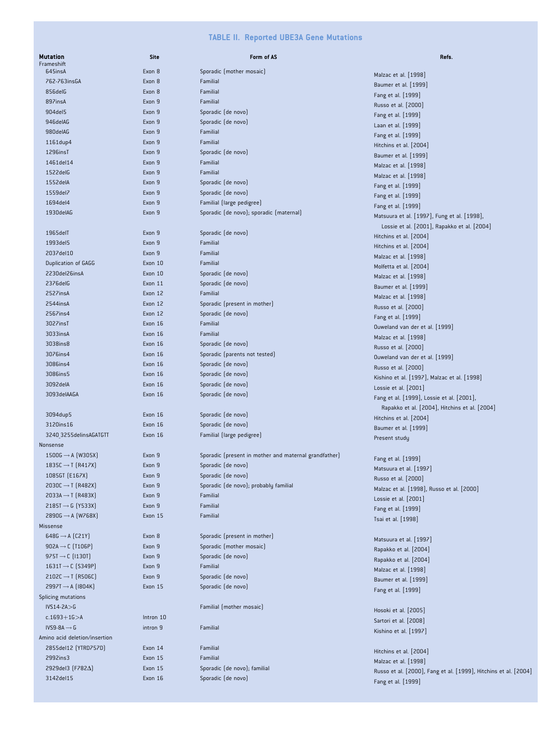#### TABLE II. Reported UBE3A Gene Mutations

| <b>Mutation</b><br>Frameshift             | <b>Site</b> | Form of AS                                            | Refs.                                                                                      |
|-------------------------------------------|-------------|-------------------------------------------------------|--------------------------------------------------------------------------------------------|
| 645insA                                   | Exon 8      | Sporadic (mother mosaic)                              | Malzac et al. [1998]                                                                       |
| 762-763insGA                              | Exon 8      | Familial                                              | Baumer et al. [1999]                                                                       |
| 856delG                                   | Exon 8      | Familial                                              | Fang et al. [1999]                                                                         |
| 897insA                                   | Exon 9      | Familial                                              | Russo et al. [2000]                                                                        |
| 904del5                                   | Exon 9      | Sporadic (de novo)                                    | Fang et al. [1999]                                                                         |
| 946delAG                                  | Exon 9      | Sporadic (de novo)                                    | Laan et al. [1999]                                                                         |
| 980delAG                                  | Exon 9      | Familial                                              | Fang et al. [1999]                                                                         |
| 1161dup4                                  | Exon 9      | Familial                                              | Hitchins et al. [2004]                                                                     |
| 1296insT                                  | Exon 9      | Sporadic (de novo)                                    | Baumer et al. [1999]                                                                       |
| 1461del14                                 | Exon 9      | Familial                                              | Malzac et al. [1998]                                                                       |
| 1522delG                                  | Exon 9      | Familial                                              | Malzac et al. [1998]                                                                       |
| 1552delA                                  | Exon 9      | Sporadic (de novo)                                    | Fang et al. [1999]                                                                         |
| 1559del7                                  | Exon 9      | Sporadic (de novo)                                    | Fang et al. [1999]                                                                         |
| 1694del4                                  | Exon 9      | Familial (large pedigree)                             | Fang et al. [1999]                                                                         |
| 1930delAG                                 | Exon 9      | Sporadic (de novo); sporadic (maternal)               | Matsuura et al. [1997], Fung et al. [1998],                                                |
|                                           |             |                                                       | Lossie et al. [2001], Rapakko et al. [2004]                                                |
| 1965delT                                  | Exon 9      | Sporadic (de novo)                                    | Hitchins et al. [2004]                                                                     |
| 1993del5                                  | Exon 9      | Familial                                              | Hitchins et al. [2004]                                                                     |
| 2037del10                                 | Exon 9      | Familial                                              | Malzac et al. [1998]                                                                       |
| Duplication of GAGG                       | Exon 10     | Familial                                              | Molfetta et al. [2004]                                                                     |
| 2230del26insA                             | Exon 10     | Sporadic (de novo)                                    | Malzac et al. [1998]                                                                       |
| 2376delG                                  | Exon 11     | Sporadic (de novo)                                    | Baumer et al. [1999]                                                                       |
| 2527insA                                  | Exon 12     | Familial                                              | Malzac et al. [1998]                                                                       |
| 2544insA                                  | Exon 12     | Sporadic (present in mother)                          | Russo et al. [2000]                                                                        |
| 2567ins4                                  | Exon 12     | Sporadic (de novo)                                    | Fang et al. [1999]                                                                         |
| 3027insT                                  | Exon 16     | Familial                                              | Ouweland van der et al. [1999]                                                             |
| 3033insA                                  | Exon 16     | Familial                                              | Malzac et al. [1998]                                                                       |
| 3038ins8                                  | Exon 16     | Sporadic (de novo)                                    | Russo et al. [2000]                                                                        |
| 3076ins4                                  | Exon 16     | Sporadic (parents not tested)                         | Ouweland van der et al. [1999]                                                             |
| 3086ins4                                  | Exon 16     | Sporadic (de novo)                                    | Russo et al. [2000]                                                                        |
| 3086ins5                                  | Exon 16     | Sporadic (de novo)                                    | Kishino et al. [1997], Malzac et al. [1998]                                                |
| 3092delA                                  | Exon 16     | Sporadic (de novo)                                    | Lossie et al. [2001]                                                                       |
| 3093delAAGA                               | Exon 16     | Sporadic (de novo)                                    | Fang et al. [1999], Lossie et al. [2001],<br>Rapakko et al. [2004], Hitchins et al. [2004] |
| 3094dup5                                  | Exon 16     | Sporadic (de novo)                                    | Hitchins et al. [2004]                                                                     |
| 3120ins16                                 | Exon 16     | Sporadic (de novo)                                    | Baumer et al. [1999]                                                                       |
| 3240 3255delinsAGATGTT<br>Nonsense        | Exon 16     | Familial (large pedigree)                             | Present study                                                                              |
| $1500G \rightarrow A$ (W305X)             | Exon 9      | Sporadic (present in mother and maternal grandfather) | Fang et al. [1999]                                                                         |
| 1835C $\rightarrow$ T (R417X)             | Exon 9      | Sporadic (de novo)                                    | Matsuura et al. [1997]                                                                     |
| 1085GT (E167X)                            | Exon 9      | Sporadic (de novo)                                    | Russo et al. [2000]                                                                        |
| $2030C \rightarrow T$ (R482X)             | Exon 9      | Sporadic (de novo); probably familial                 | Malzac et al. [1998], Russo et al. [2000]                                                  |
| $2033A \rightarrow T$ (R483X)             | Exon 9      | Familial                                              | Lossie et al. [2001]                                                                       |
| $2185T \rightarrow 6$ (Y533X)             | Exon 9      | Familial                                              | Fang et al. [1999]                                                                         |
| 2890G $\rightarrow$ A (W768X)<br>Missense | Exon 15     | Familial                                              | Tsai et al. [1998]                                                                         |
| $648G \rightarrow A$ (C21Y)               | Exon 8      | Sporadic (present in mother)                          | Matsuura et al. [1997]                                                                     |
| 902A $\rightarrow$ C (T106P)              | Exon 9      | Sporadic (mother mosaic)                              | Rapakko et al. [2004]                                                                      |
| $975T \rightarrow C$ (1130T)              | Exon 9      | Sporadic (de novo)                                    |                                                                                            |
| 1631T $\rightarrow$ C (S349P)             | Exon 9      | Familial                                              | Rapakko et al. [2004]<br>Malzac et al. [1998]                                              |
| $2102C \rightarrow T$ (R506C)             | Exon 9      | Sporadic (de novo)                                    | Baumer et al. [1999]                                                                       |
| 2997T $\rightarrow$ A (1804K)             | Exon 15     | Sporadic (de novo)                                    | Fang et al. [1999]                                                                         |
| Splicing mutations<br>$IVS14-2A > 6$      |             | Familial (mother mosaic)                              |                                                                                            |
| $c.1693 + 16 > A$                         | Intron 10   |                                                       | Hosoki et al. [2005]                                                                       |
| $IVS9-8A \rightarrow G$                   | intron 9    | Familial                                              | Sartori et al. [2008]                                                                      |
| Amino acid deletion/insertion             |             |                                                       | Kishino et al. [1997]                                                                      |
| 2855del12 (YTRD757D)                      | Exon 14     | Familial                                              |                                                                                            |
| 2992ins3                                  | Exon 15     | Familial                                              | Hitchins et al. [2004]                                                                     |
| 2929del3 (F782 $\Delta$ )                 | Exon 15     | Sporadic (de novo); familial                          | Malzac et al. [1998]                                                                       |
| 3142del15                                 | Exon 16     | Sporadic (de novo)                                    | Russo et al. [2000], Fang et al. [1999], Hitchins et al. [2004]                            |
|                                           |             |                                                       | Fang et al. [1999]                                                                         |